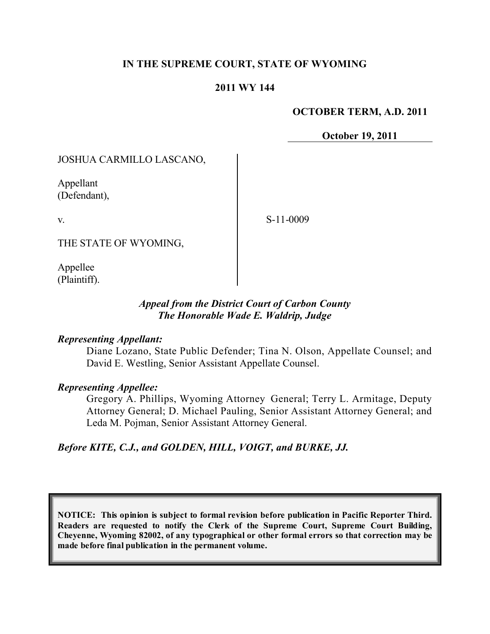## **IN THE SUPREME COURT, STATE OF WYOMING**

### **2011 WY 144**

#### **OCTOBER TERM, A.D. 2011**

**October 19, 2011**

### JOSHUA CARMILLO LASCANO,

Appellant (Defendant),

v.

S-11-0009

THE STATE OF WYOMING,

Appellee (Plaintiff).

### *Appeal from the District Court of Carbon County The Honorable Wade E. Waldrip, Judge*

### *Representing Appellant:*

Diane Lozano, State Public Defender; Tina N. Olson, Appellate Counsel; and David E. Westling, Senior Assistant Appellate Counsel.

### *Representing Appellee:*

Gregory A. Phillips, Wyoming Attorney General; Terry L. Armitage, Deputy Attorney General; D. Michael Pauling, Senior Assistant Attorney General; and Leda M. Pojman, Senior Assistant Attorney General.

*Before KITE, C.J., and GOLDEN, HILL, VOIGT, and BURKE, JJ.*

**NOTICE: This opinion is subject to formal revision before publication in Pacific Reporter Third. Readers are requested to notify the Clerk of the Supreme Court, Supreme Court Building, Cheyenne, Wyoming 82002, of any typographical or other formal errors so that correction may be made before final publication in the permanent volume.**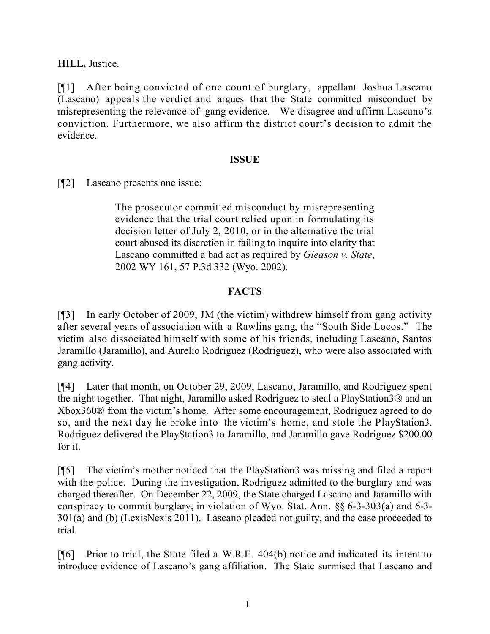**HILL,** Justice.

[¶1] After being convicted of one count of burglary, appellant Joshua Lascano (Lascano) appeals the verdict and argues that the State committed misconduct by misrepresenting the relevance of gang evidence. We disagree and affirm Lascano's conviction. Furthermore, we also affirm the district court's decision to admit the evidence.

# **ISSUE**

[¶2] Lascano presents one issue:

The prosecutor committed misconduct by misrepresenting evidence that the trial court relied upon in formulating its decision letter of July 2, 2010, or in the alternative the trial court abused its discretion in failing to inquire into clarity that Lascano committed a bad act as required by *Gleason v. State*, 2002 WY 161, 57 P.3d 332 (Wyo. 2002).

# **FACTS**

[¶3] In early October of 2009, JM (the victim) withdrew himself from gang activity after several years of association with a Rawlins gang, the "South Side Locos." The victim also dissociated himself with some of his friends, including Lascano, Santos Jaramillo (Jaramillo), and Aurelio Rodriguez (Rodriguez), who were also associated with gang activity.

[¶4] Later that month, on October 29, 2009, Lascano, Jaramillo, and Rodriguez spent the night together. That night, Jaramillo asked Rodriguez to steal a PlayStation3® and an Xbox360® from the victim's home. After some encouragement, Rodriguez agreed to do so, and the next day he broke into the victim's home, and stole the PlayStation3. Rodriguez delivered the PlayStation3 to Jaramillo, and Jaramillo gave Rodriguez \$200.00 for it.

[¶5] The victim's mother noticed that the PlayStation3 was missing and filed a report with the police. During the investigation, Rodriguez admitted to the burglary and was charged thereafter. On December 22, 2009, the State charged Lascano and Jaramillo with conspiracy to commit burglary, in violation of Wyo. Stat. Ann. §§ 6-3-303(a) and 6-3- 301(a) and (b) (LexisNexis 2011). Lascano pleaded not guilty, and the case proceeded to trial.

[¶6] Prior to trial, the State filed a W.R.E. 404(b) notice and indicated its intent to introduce evidence of Lascano's gang affiliation. The State surmised that Lascano and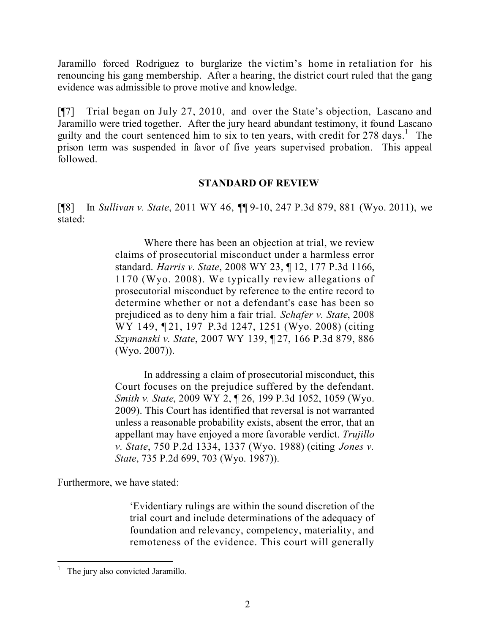Jaramillo forced Rodriguez to burglarize the victim's home in retaliation for his renouncing his gang membership. After a hearing, the district court ruled that the gang evidence was admissible to prove motive and knowledge.

[¶7] Trial began on July 27, 2010, and over the State's objection, Lascano and Jaramillo were tried together. After the jury heard abundant testimony, it found Lascano guilty and the court sentenced him to six to ten years, with credit for  $278 \text{ days}$ .<sup>1</sup> The prison term was suspended in favor of five years supervised probation. This appeal followed.

### **STANDARD OF REVIEW**

[¶8] In *Sullivan v. State*, 2011 WY 46, ¶¶ 9-10, 247 P.3d 879, 881 (Wyo. 2011), we stated:

> Where there has been an objection at trial, we review claims of prosecutorial misconduct under a harmless error standard. *Harris v. State*, 2008 WY 23, ¶ 12, 177 P.3d 1166, 1170 (Wyo. 2008). We typically review allegations of prosecutorial misconduct by reference to the entire record to determine whether or not a defendant's case has been so prejudiced as to deny him a fair trial. *Schafer v. State*, 2008 WY 149, ¶ 21, 197 P.3d 1247, 1251 (Wyo. 2008) (citing *Szymanski v. State*, 2007 WY 139, ¶ 27, 166 P.3d 879, 886 (Wyo. 2007)).

> In addressing a claim of prosecutorial misconduct, this Court focuses on the prejudice suffered by the defendant. *Smith v. State*, 2009 WY 2, ¶ 26, 199 P.3d 1052, 1059 (Wyo. 2009). This Court has identified that reversal is not warranted unless a reasonable probability exists, absent the error, that an appellant may have enjoyed a more favorable verdict. *Trujillo v. State*, 750 P.2d 1334, 1337 (Wyo. 1988) (citing *Jones v. State*, 735 P.2d 699, 703 (Wyo. 1987)).

Furthermore, we have stated:

'Evidentiary rulings are within the sound discretion of the trial court and include determinations of the adequacy of foundation and relevancy, competency, materiality, and remoteness of the evidence. This court will generally

The jury also convicted Jaramillo.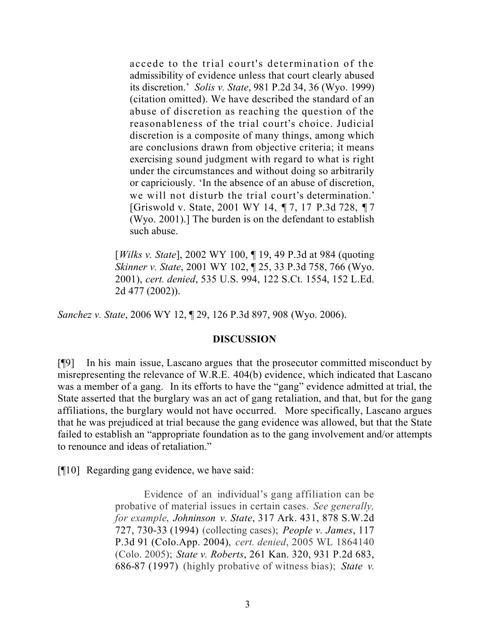accede to the trial court's determination of the admissibility of evidence unless that court clearly abused its discretion.' *Solis v. State*, 981 P.2d 34, 36 (Wyo. 1999) (citation omitted). We have described the standard of an abuse of discretion as reaching the question of the reasonableness of the trial court's choice. Judicial discretion is a composite of many things, among which are conclusions drawn from objective criteria; it means exercising sound judgment with regard to what is right under the circumstances and without doing so arbitrarily or capriciously. 'In the absence of an abuse of discretion, we will not disturb the trial court's determination.' [Griswold v. State, 2001 WY 14, ¶ 7, 17 P.3d 728, ¶ 7 (Wyo. 2001).] The burden is on the defendant to establish such abuse.

[*Wilks v. State*], 2002 WY 100, ¶ 19, 49 P.3d at 984 (quoting *Skinner v. State*, 2001 WY 102, ¶ 25, 33 P.3d 758, 766 (Wyo. 2001), *cert. denied*, 535 U.S. 994, 122 S.Ct. 1554, 152 L.Ed. 2d 477 (2002)).

*Sanchez v. State*, 2006 WY 12, ¶ 29, 126 P.3d 897, 908 (Wyo. 2006).

#### **DISCUSSION**

[¶9] In his main issue, Lascano argues that the prosecutor committed misconduct by misrepresenting the relevance of W.R.E. 404(b) evidence, which indicated that Lascano was a member of a gang. In its efforts to have the "gang" evidence admitted at trial, the State asserted that the burglary was an act of gang retaliation, and that, but for the gang affiliations, the burglary would not have occurred. More specifically, Lascano argues that he was prejudiced at trial because the gang evidence was allowed, but that the State failed to establish an "appropriate foundation as to the gang involvement and/or attempts to renounce and ideas of retaliation."

[¶10] Regarding gang evidence, we have said:

Evidence of an individual's gang affiliation can be probative of material issues in certain cases. *See generally, for example*, *Johninson v. State*, 317 Ark. 431, 878 S.W.2d 727, 730-33 (1994) (collecting cases); *People v. James*, 117 P.3d 91 (Colo.App. 2004), *cert. denied*, 2005 WL 1864140 (Colo. 2005); *State v. Roberts*, 261 Kan. 320, 931 P.2d 683, 686-87 (1997) (highly probative of witness bias); *State v.*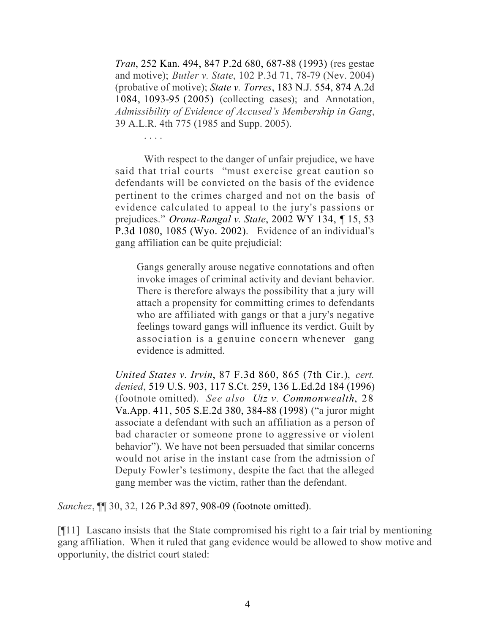*Tran*, 252 Kan. 494, 847 P.2d 680, 687-88 (1993) (res gestae and motive); *Butler v. State*, 102 P.3d 71, 78-79 (Nev. 2004) (probative of motive); *State v. Torres*, 183 N.J. 554, 874 A.2d 1084, 1093-95 (2005) (collecting cases); and Annotation, *Admissibility of Evidence of Accused's Membership in Gang*, 39 A.L.R. 4th 775 (1985 and Supp. 2005).

. . . .

With respect to the danger of unfair prejudice, we have said that trial courts "must exercise great caution so defendants will be convicted on the basis of the evidence pertinent to the crimes charged and not on the basis of evidence calculated to appeal to the jury's passions or prejudices." *Orona-Rangal v. State*, 2002 WY 134, ¶ 15, 53 P.3d 1080, 1085 (Wyo. 2002). Evidence of an individual's gang affiliation can be quite prejudicial:

Gangs generally arouse negative connotations and often invoke images of criminal activity and deviant behavior. There is therefore always the possibility that a jury will attach a propensity for committing crimes to defendants who are affiliated with gangs or that a jury's negative feelings toward gangs will influence its verdict. Guilt by association is a genuine concern whenever gang evidence is admitted.

*United States v. Irvin*, 87 F.3d 860, 865 (7th Cir.), *cert. denied*, 519 U.S. 903, 117 S.Ct. 259, 136 L.Ed.2d 184 (1996) (footnote omitted). *See also Utz v. Commonwealth*, 28 Va.App. 411, 505 S.E.2d 380, 384-88 (1998) ("a juror might associate a defendant with such an affiliation as a person of bad character or someone prone to aggressive or violent behavior"). We have not been persuaded that similar concerns would not arise in the instant case from the admission of Deputy Fowler's testimony, despite the fact that the alleged gang member was the victim, rather than the defendant.

*Sanchez*, ¶¶ 30, 32, 126 P.3d 897, 908-09 (footnote omitted).

[¶11] Lascano insists that the State compromised his right to a fair trial by mentioning gang affiliation. When it ruled that gang evidence would be allowed to show motive and opportunity, the district court stated: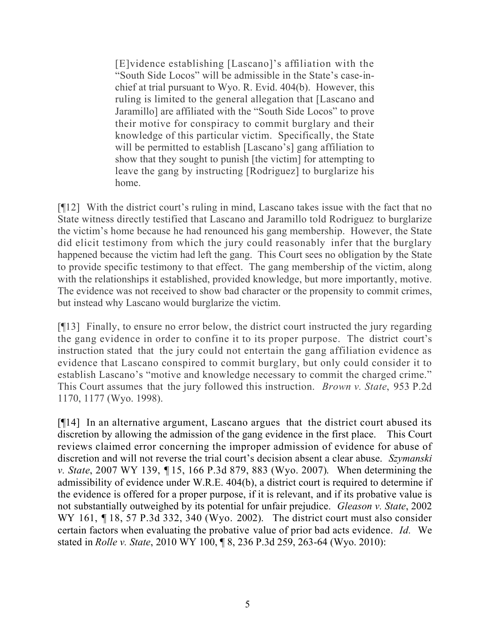[E]vidence establishing [Lascano]'s affiliation with the "South Side Locos" will be admissible in the State's case-inchief at trial pursuant to Wyo. R. Evid. 404(b). However, this ruling is limited to the general allegation that [Lascano and Jaramillo] are affiliated with the "South Side Locos" to prove their motive for conspiracy to commit burglary and their knowledge of this particular victim. Specifically, the State will be permitted to establish [Lascano's] gang affiliation to show that they sought to punish [the victim] for attempting to leave the gang by instructing [Rodriguez] to burglarize his home.

[¶12] With the district court's ruling in mind, Lascano takes issue with the fact that no State witness directly testified that Lascano and Jaramillo told Rodriguez to burglarize the victim's home because he had renounced his gang membership. However, the State did elicit testimony from which the jury could reasonably infer that the burglary happened because the victim had left the gang. This Court sees no obligation by the State to provide specific testimony to that effect. The gang membership of the victim, along with the relationships it established, provided knowledge, but more importantly, motive. The evidence was not received to show bad character or the propensity to commit crimes, but instead why Lascano would burglarize the victim.

[¶13] Finally, to ensure no error below, the district court instructed the jury regarding the gang evidence in order to confine it to its proper purpose. The district court's instruction stated that the jury could not entertain the gang affiliation evidence as evidence that Lascano conspired to commit burglary, but only could consider it to establish Lascano's "motive and knowledge necessary to commit the charged crime." This Court assumes that the jury followed this instruction. *Brown v. State*, 953 P.2d 1170, 1177 (Wyo. 1998).

[¶14] In an alternative argument, Lascano argues that the district court abused its discretion by allowing the admission of the gang evidence in the first place. This Court reviews claimed error concerning the improper admission of evidence for abuse of discretion and will not reverse the trial court's decision absent a clear abuse. *Szymanski v. State*, 2007 WY 139, ¶ 15, 166 P.3d 879, 883 (Wyo. 2007). When determining the admissibility of evidence under W.R.E. 404(b), a district court is required to determine if the evidence is offered for a proper purpose, if it is relevant, and if its probative value is not substantially outweighed by its potential for unfair prejudice. *Gleason v. State*, 2002 WY 161, ¶18, 57 P.3d 332, 340 (Wyo. 2002). The district court must also consider certain factors when evaluating the probative value of prior bad acts evidence. *Id.* We stated in *Rolle v. State*, 2010 WY 100, ¶ 8, 236 P.3d 259, 263-64 (Wyo. 2010):